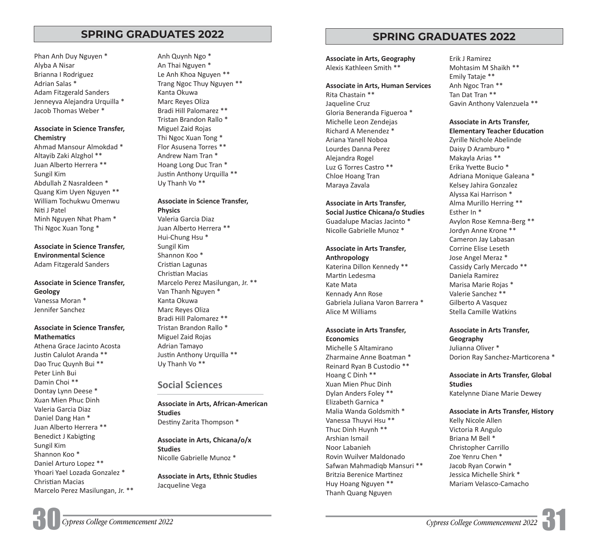# **SPRING GRADUATES 2022 SPRING GRADUATES 2022**

Phan Anh Duy Nguyen \* Alyba A Nisar Brianna I Rodriguez Adrian Salas \* Adam Fitzgerald Sanders Jenneyva Alejandra Urquilla \* Jacob Thomas Weber \*

### **Associate in Science Transfer, Chemistry**

Ahmad Mansour Almokdad \* Altayib Zaki Alzghol \*\* Juan Alberto Herrera \*\* Sungil Kim Abdullah Z Nasraldeen \* Quang Kim Uyen Nguyen \*\* William Tochukwu Omenwu Niti J Patel Minh Nguyen Nhat Pham \* Thi Ngoc Xuan Tong \*

**Associate in Science Transfer, Environmental Science** Adam Fitzgerald Sanders

**Associate in Science Transfer, Geology** Vanessa Moran \* Jennifer Sanchez

### **Associate in Science Transfer, Mathematics**

Athena Grace Jacinto Acosta Justin Calulot Aranda \*\* Dao Truc Quynh Bui \*\* Peter Linh Bui Damin Choi \*\* Dontay Lynn Deese \* Xuan Mien Phuc Dinh Valeria Garcia Diaz Daniel Dang Han \* Juan Alberto Herrera \*\* Benedict J Kabigting Sungil Kim Shannon Koo \* Daniel Arturo Lopez \*\* Yhoari Yael Lozada Gonzalez \* Christian Macias Marcelo Perez Masilungan, Jr. \*\* Anh Quynh Ngo \* An Thai Nguyen \* Le Anh Khoa Nguyen \*\* Trang Ngoc Thuy Nguyen \*\* Kanta Okuwa Marc Reyes Oliza Bradi Hill Palomarez \*\* Tristan Brandon Rallo \* Miguel Zaid Rojas Thi Ngoc Xuan Tong \* Flor Asusena Torres \*\* Andrew Nam Tran \* Hoang Long Duc Tran \* Justin Anthony Urquilla \*\* Uy Thanh Vo \*\*

#### **Associate in Science Transfer, Physics**

Valeria Garcia Diaz Juan Alberto Herrera \*\* Hui-Chung Hsu \* Sungil Kim Shannon Koo \* Cristian Lagunas Christian Macias Marcelo Perez Masilungan, Jr. \*\* Van Thanh Nguyen \* Kanta Okuwa Marc Reyes Oliza Bradi Hill Palomarez \*\* Tristan Brandon Rallo \* Miguel Zaid Rojas Adrian Tamayo Justin Anthony Urquilla \*\* Uy Thanh Vo \*\*

# **Social Sciences**

**Associate in Arts, African-American Studies**  Destiny Zarita Thompson \*

**Associate in Arts, Chicana/o/x Studies**  Nicolle Gabrielle Munoz \*

**Associate in Arts, Ethnic Studies** Jacqueline Vega

**Associate in Arts, Geography** Alexis Kathleen Smith \*\*

#### **Associate in Arts, Human Services**

Rita Chastain \*\* Jaqueline Cruz Gloria Beneranda Figueroa \* Michelle Leon Zendejas Richard A Menendez \* Ariana Yanell Noboa Lourdes Danna Perez Alejandra Rogel Luz G Torres Castro \*\* Chloe Hoang Tran Maraya Zavala

# **Associate in Arts Transfer,**

**Social Justice Chicana/o Studies** Guadalupe Macias Jacinto \* Nicolle Gabrielle Munoz \*

# **Associate in Arts Transfer,**

**Anthropology** Katerina Dillon Kennedy \*\* Martin Ledesma Kate Mata Kennady Ann Rose Gabriela Juliana Varon Barrera \* Alice M Williams

#### **Associate in Arts Transfer, Economics**

Michelle S Altamirano Zharmaine Anne Boatman \* Reinard Ryan B Custodio \*\* Hoang C Dinh \*\* Xuan Mien Phuc Dinh Dylan Anders Foley \*\* Elizabeth Garnica \* Malia Wanda Goldsmith \* Vanessa Thuyvi Hsu \*\* Thuc Dinh Huynh \*\* Arshian Ismail Noor Labanieh Rovin Wuilver Maldonado Safwan Mahmadiqb Mansuri \*\* Britzia Berenice Martinez Huy Hoang Nguyen \*\* Thanh Quang Nguyen

Erik J Ramirez Mohtasim M Shaikh \*\* Emily Tataje \*\* Anh Ngoc Tran \*\* Tan Dat Tran \*\* Gavin Anthony Valenzuela \*\*

### **Associate in Arts Transfer,**

**Elementary Teacher Education** Zyrille Nichole Abelinde Daisy D Aramburo \* Makayla Arias \*\* Erika Yvette Bucio \* Adriana Monique Galeana \* Kelsey Jahira Gonzalez Alyssa Kai Harrison \* Alma Murillo Herring \*\* Esther In \* Avylon Rose Kemna-Berg \*\* Jordyn Anne Krone \*\* Cameron Jay Labasan Corrine Elise Leseth Jose Angel Meraz \* Cassidy Carly Mercado \*\* Daniela Ramirez Marisa Marie Rojas \* Valerie Sanchez \*\* Gilberto A Vasquez Stella Camille Watkins

**Associate in Arts Transfer, Geography** Julianna Oliver \* Dorion Ray Sanchez-Marticorena \*

### **Associate in Arts Transfer, Global Studies**  Katelynne Diane Marie Dewey

#### **Associate in Arts Transfer, History**

Kelly Nicole Allen Victoria R Angulo Briana M Bell \* Christopher Carrillo Zoe Yenru Chen \* Jacob Ryan Corwin \* Jessica Michelle Shirk \* Mariam Velasco-Camacho

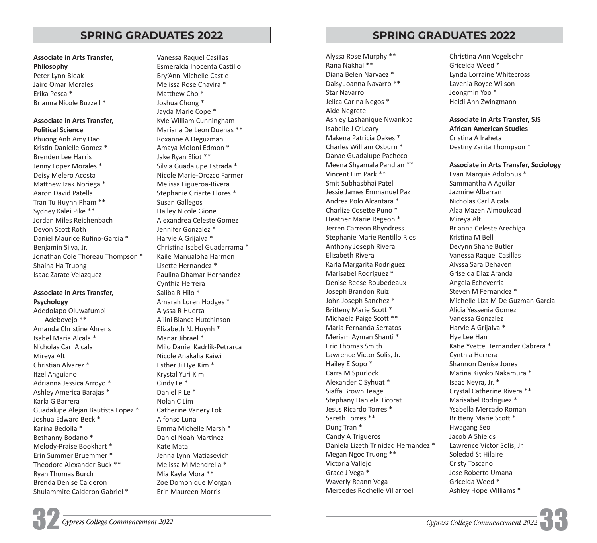**Associate in Arts Transfer, Philosophy** Peter Lynn Bleak Jairo Omar Morales Erika Pesca \* Brianna Nicole Buzzell \*

#### **Associate in Arts Transfer, Political Science**

Phuong Anh Amy Dao Kristin Danielle Gomez \* Brenden Lee Harris Jenny Lopez Morales \* Deisy Melero Acosta Matthew Izak Noriega \* Aaron David Patella Tran Tu Huynh Pham \*\* Sydney Kalei Pike \*\* Jordan Miles Reichenbach Devon Scott Roth Daniel Maurice Rufino-Garcia \* Benjamin Silva, Jr. Jonathan Cole Thoreau Thompson \* Shaina Ha Truong Isaac Zarate Velazquez

#### **Associate in Arts Transfer, Psychology**

Adedolapo Oluwafumbi Adeboyejo \*\* Amanda Christine Ahrens Isabel Maria Alcala \* Nicholas Carl Alcala Mireya Alt Christian Alvarez \* Itzel Anguiano Adrianna Jessica Arroyo \* Ashley America Barajas \* Karla G Barrera Guadalupe Alejan Bautista Lopez \* Joshua Edward Beck \* Karina Bedolla \* Bethanny Bodano \* Melody-Praise Bookhart \* Erin Summer Bruemmer \* Theodore Alexander Buck \*\* Ryan Thomas Burch Brenda Denise Calderon Shulammite Calderon Gabriel \*

Vanessa Raquel Casillas Esmeralda Inocenta Castillo Bry'Ann Michelle Castle Melissa Rose Chavira \* Matthew Cho \* Joshua Chong \* Jayda Marie Cope \* Kyle William Cunningham Mariana De Leon Duenas \*\* Roxanne A Deguzman Amaya Moloni Edmon \* Jake Ryan Eliot \*\* Silvia Guadalupe Estrada \* Nicole Marie-Orozco Farmer Melissa Figueroa-Rivera Stephanie Griarte Flores \* Susan Gallegos Hailey Nicole Gione Alexandrea Celeste Gomez Jennifer Gonzalez \* Harvie A Grijalva \* Christina Isabel Guadarrama \* Kaile Manualoha Harmon Lisette Hernandez \* Paulina Dhamar Hernandez Cynthia Herrera Saliba R Hilo \* Amarah Loren Hodges \* Alyssa R Huerta Ailini Bianca Hutchinson Elizabeth N. Huynh \* Manar Jibrael \* Milo Daniel Kadrlik-Petrarca Nicole Anakalia Kaiwi Esther Ji Hye Kim \* Krystal Yuri Kim Cindy Le \* Daniel P Le \* Nolan C Lim Catherine Vanery Lok Alfonso Luna Emma Michelle Marsh \* Daniel Noah Martinez Kate Mata Jenna Lynn Matiasevich Melissa M Mendrella \* Mia Kayla Mora \*\* Zoe Domonique Morgan Erin Maureen Morris

**SPRING GRADUATES 2022 SPRING GRADUATES 2022** 

Alyssa Rose Murphy \*\* Rana Nakhal \*\* Diana Belen Narvaez \* Daisy Joanna Navarro \*\* Star Navarro Jelica Carina Negos \* Aide Negrete Ashley Lashanique Nwankpa Isabelle J O'Leary Makena Patricia Oakes \* Charles William Osburn \* Danae Guadalupe Pacheco Meena Shyamala Pandian \*\* Vincent Lim Park \*\* Smit Subhasbhai Patel Jessie James Emmanuel Paz Andrea Polo Alcantara \* Charlize Cosette Puno \* Heather Marie Regeon \* Jerren Carreon Rhyndress Stephanie Marie Rentillo Rios Anthony Joseph Rivera Elizabeth Rivera Karla Margarita Rodriguez Marisabel Rodriguez \* Denise Reese Roubedeaux Joseph Brandon Ruiz John Joseph Sanchez \* Britteny Marie Scott \* Michaela Paige Scott \*\* Maria Fernanda Serratos Meriam Ayman Shanti \* Eric Thomas Smith Lawrence Victor Solis, Jr. Hailey E Sopo \* Carra M Spurlock Alexander C Syhuat \* Siaffa Brown Teage Stephany Daniela Ticorat Jesus Ricardo Torres \* Sareth Torres \*\* Dung Tran \* Candy A Trigueros Daniela Lizeth Trinidad Hernandez \* Megan Ngoc Truong \*\* Victoria Vallejo Grace J Vega \* Waverly Reann Vega Mercedes Rochelle Villarroel

Christina Ann Vogelsohn Gricelda Weed \* Lynda Lorraine Whitecross Lavenia Royce Wilson Jeongmin Yoo \* Heidi Ann Zwingmann

**Associate in Arts Transfer, SJS African American Studies** Cristina A Iraheta Destiny Zarita Thompson \*

**Associate in Arts Transfer, Sociology** Evan Marquis Adolphus \* Sammantha A Aguilar Jazmine Albarran Nicholas Carl Alcala Alaa Mazen Almoukdad Mireya Alt Brianna Celeste Arechiga Kristina M Bell Devynn Shane Butler Vanessa Raquel Casillas Alyssa Sara Dehaven Griselda Diaz Aranda Angela Echeverria Steven M Fernandez \* Michelle Liza M De Guzman Garcia Alicia Yessenia Gomez Vanessa Gonzalez Harvie A Grijalva \* Hye Lee Han Katie Yvette Hernandez Cabrera \* Cynthia Herrera Shannon Denise Jones Marina Kiyoko Nakamura \* Isaac Neyra, Jr. \* Crystal Catherine Rivera \*\* Marisabel Rodriguez \* Ysabella Mercado Roman Britteny Marie Scott \* Hwagang Seo Jacob A Shields Lawrence Victor Solis, Jr. Soledad St Hilaire Cristy Toscano Jose Roberto Umana Gricelda Weed \* Ashley Hope Williams \*

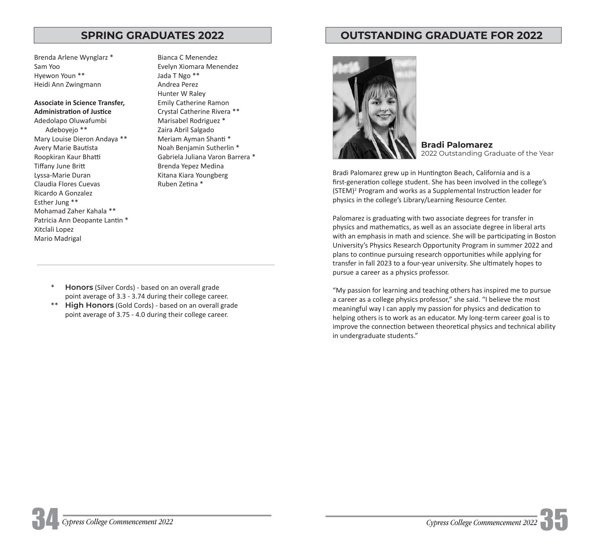Brenda Arlene Wynglarz \* Sam Yoo Hyewon Youn \*\* Heidi Ann Zwingmann

### **Associate in Science Transfer, Administration of Justice**

Adedolapo Oluwafumbi Adeboyejo \*\* Mary Louise Dieron Andaya \*\* Avery Marie Bautista Roopkiran Kaur Bhatti Tiffany June Britt Lyssa-Marie Duran Claudia Flores Cuevas Ricardo A Gonzalez Esther Jung \*\* Mohamad Zaher Kahala \*\* Patricia Ann Deopante Lantin \* Xitclali Lopez Mario Madrigal

Bianca C Menendez Evelyn Xiomara Menendez Jada T Ngo \*\* Andrea Perez Hunter W Raley Emily Catherine Ramon Crystal Catherine Rivera \*\* Marisabel Rodriguez \* Zaira Abril Salgado Meriam Ayman Shanti \* Noah Benjamin Sutherlin \* Gabriela Juliana Varon Barrera \* Brenda Yepez Medina Kitana Kiara Youngberg Ruben Zetina \*

- \* **Honors** (Silver Cords) based on an overall grade point average of 3.3 - 3.74 during their college career.
- \*\* **High Honors** (Gold Cords) based on an overall grade point average of 3.75 - 4.0 during their college career.

# **SPRING GRADUATES 2022 OUTSTANDING GRADUATE FOR 2022**



**Bradi Palomarez**  2022 Outstanding Graduate of the Year

Bradi Palomarez grew up in Huntington Beach, California and is a first-generation college student. She has been involved in the college's (STEM)<sup>2</sup> Program and works as a Supplemental Instruction leader for physics in the college's Library/Learning Resource Center.

Palomarez is graduating with two associate degrees for transfer in physics and mathematics, as well as an associate degree in liberal arts with an emphasis in math and science. She will be participating in Boston University's Physics Research Opportunity Program in summer 2022 and plans to continue pursuing research opportunities while applying for transfer in fall 2023 to a four-year university. She ultimately hopes to pursue a career as a physics professor.

"My passion for learning and teaching others has inspired me to pursue a career as a college physics professor," she said. "I believe the most meaningful way I can apply my passion for physics and dedication to helping others is to work as an educator. My long-term career goal is to improve the connection between theoretical physics and technical ability in undergraduate students."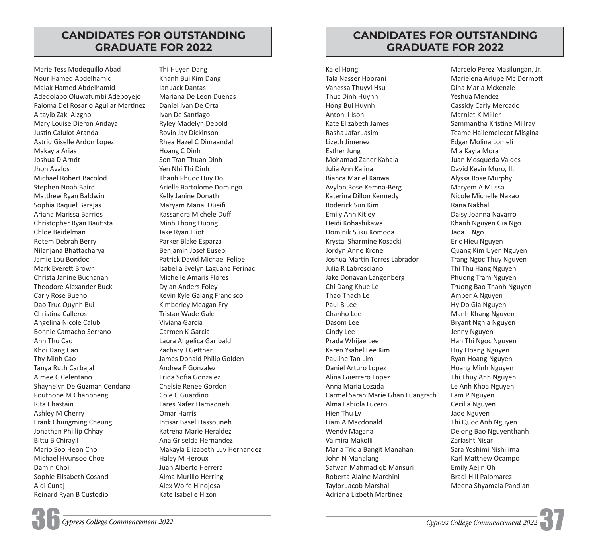# **CANDIDATES FOR OUTSTANDING GRADUATE FOR 2022**

Marie Tess Modequillo Abad Nour Hamed Abdelhamid Malak Hamed Abdelhamid Adedolapo Oluwafumbi Adeboyejo Paloma Del Rosario Aguilar Martinez Altayib Zaki Alzghol Mary Louise Dieron Andaya Justin Calulot Aranda Astrid Giselle Ardon Lopez Makayla Arias Joshua D Arndt Jhon Avalos Michael Robert Bacolod Stephen Noah Baird Matthew Ryan Baldwin Sophia Raquel Barajas Ariana Marissa Barrios Christopher Ryan Bautista Chloe Beidelman Rotem Debrah Berry Nilanjana Bhattacharya Jamie Lou Bondoc Mark Everett Brown Christa Janine Buchanan Theodore Alexander Buck Carly Rose Bueno Dao Truc Quynh Bui Christina Calleros Angelina Nicole Calub Bonnie Camacho Serrano Anh Thu Cao Khoi Dang Cao Thy Minh Cao Tanya Ruth Carbajal Aimee C Celentano Shaynelyn De Guzman Cendana Pouthone M Chanpheng Rita Chastain Ashley M Cherry Frank Chungming Cheung Jonathan Phillip Chhay Bittu B Chirayil Mario Soo Heon Cho Michael Hyunsoo Choe Damin Choi Sophie Elisabeth Cosand Aldi Cunaj Reinard Ryan B Custodio

Thi Huyen Dang Khanh Bui Kim Dang Ian Jack Dantas Mariana De Leon Duenas Daniel Ivan De Orta Ivan De Santiago Ryley Madelyn Debold Rovin Jay Dickinson Rhea Hazel C Dimaandal Hoang C Dinh Son Tran Thuan Dinh Yen Nhi Thi Dinh Thanh Phuoc Huy Do Arielle Bartolome Domingo Kelly Janine Donath Maryam Manal Dueifi Kassandra Michele Duff Minh Thong Duong Jake Ryan Eliot Parker Blake Esparza Benjamin Josef Eusebi Patrick David Michael Felipe Isabella Evelyn Laguana Ferinac Michelle Amaris Flores Dylan Anders Foley Kevin Kyle Galang Francisco Kimberley Meagan Fry Tristan Wade Gale Viviana Garcia Carmen K Garcia Laura Angelica Garibaldi Zachary J Gettner James Donald Philip Golden Andrea F Gonzalez Frida Sofia Gonzalez Chelsie Renee Gordon Cole C Guardino Fares Nafez Hamadneh Omar Harris Intisar Basel Hassouneh Katrena Marie Heraldez Ana Griselda Hernandez Makayla Elizabeth Luv Hernandez Haley M Heroux Juan Alberto Herrera Alma Murillo Herring Alex Wolfe Hinojosa Kate Isabelle Hizon

# **CANDIDATES FOR OUTSTANDING GRADUATE FOR 2022**

Kalel Hong Tala Nasser Hoorani Vanessa Thuyvi Hsu Thuc Dinh Huynh Hong Bui Huynh Antoni I Ison Kate Elizabeth James Rasha Jafar Jasim Lizeth Jimenez Esther Jung Mohamad Zaher Kahala Julia Ann Kalina Bianca Mariel Kanwal Avylon Rose Kemna-Berg Katerina Dillon Kennedy Roderick Sun Kim Emily Ann Kitley Heidi Kohashikawa Dominik Suku Komoda Krystal Sharmine Kosacki Jordyn Anne Krone Joshua Martin Torres Labrador Julia R Labrosciano Jake Donavan Langenberg Chi Dang Khue Le Thao Thach Le Paul B Lee Chanho Lee Dasom Lee Cindy Lee Prada Whijae Lee Karen Ysabel Lee Kim Pauline Tan Lim Daniel Arturo Lopez Alina Guerrero Lopez Anna Maria Lozada Carmel Sarah Marie Ghan Luangrath Alma Fabiola Lucero Hien Thu Ly Liam A Macdonald Wendy Magana Valmira Makolli Maria Tricia Bangit Manahan John N Manalang Safwan Mahmadiqb Mansuri Roberta Alaine Marchini Taylor Jacob Marshall Adriana Lizbeth Martinez

Marcelo Perez Masilungan, Jr. Marielena Arlupe Mc Dermott Dina Maria Mckenzie Yeshua Mendez Cassidy Carly Mercado Marniet K Miller Sammantha Kristine Millray Teame Hailemelecot Misgina Edgar Molina Lomeli Mia Kayla Mora Juan Mosqueda Valdes David Kevin Muro, II. Alyssa Rose Murphy Maryem A Mussa Nicole Michelle Nakao Rana Nakhal Daisy Joanna Navarro Khanh Nguyen Gia Ngo Jada T Ngo Eric Hieu Nguyen Quang Kim Uyen Nguyen Trang Ngoc Thuy Nguyen Thi Thu Hang Nguyen Phuong Tram Nguyen Truong Bao Thanh Nguyen Amber A Nguyen Hy Do Gia Nguyen Manh Khang Nguyen Bryant Nghia Nguyen Jenny Nguyen Han Thi Ngoc Nguyen Huy Hoang Nguyen Ryan Hoang Nguyen Hoang Minh Nguyen Thi Thuy Anh Nguyen Le Anh Khoa Nguyen Lam P Nguyen Cecilia Nguyen Jade Nguyen Thi Quoc Anh Nguyen Delong Bao Nguyenthanh Zarlasht Nisar Sara Yoshimi Nishijima Karl Matthew Ocampo Emily Aejin Oh Bradi Hill Palomarez Meena Shyamala Pandian

36*Cypress College Commencement 2022* 

**Cypress College Commencement 2022**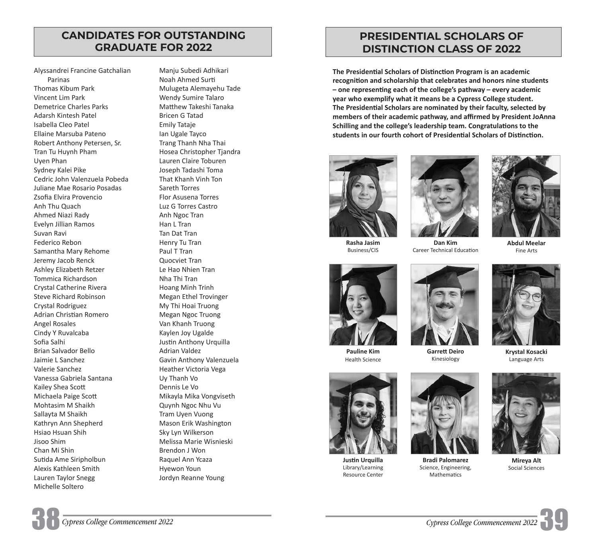# **CANDIDATES FOR OUTSTANDING GRADUATE FOR 2022**

Alyssandrei Francine Gatchalian Parinas Thomas Kibum Park Vincent Lim Park Demetrice Charles Parks Adarsh Kintesh Patel Isabella Cleo Patel Ellaine Marsuba Pateno Robert Anthony Petersen, Sr. Tran Tu Huynh Pham Uyen Phan Sydney Kalei Pike Cedric John Valenzuela Pobeda Juliane Mae Rosario Posadas Zsofia Elvira Provencio Anh Thu Quach Ahmed Niazi Rady Evelyn Jillian Ramos Suvan Ravi Federico Rebon Samantha Mary Rehome Jeremy Jacob Renck Ashley Elizabeth Retzer Tommica Richardson Crystal Catherine Rivera Steve Richard Robinson Crystal Rodriguez Adrian Christian Romero Angel Rosales Cindy Y Ruvalcaba Sofia Salhi Brian Salvador Bello Jaimie L Sanchez Valerie Sanchez Vanessa Gabriela Santana Kailey Shea Scott Michaela Paige Scott Mohtasim M Shaikh Sallayta M Shaikh Kathryn Ann Shepherd Hsiao Hsuan Shih Jisoo Shim Chan Mi Shin Sutida Ame Siripholbun Alexis Kathleen Smith Lauren Taylor Snegg Michelle Soltero

Manju Subedi Adhikari Noah Ahmed Surti Mulugeta Alemayehu Tade Wendy Sumire Talaro Matthew Takeshi Tanaka Bricen G Tatad Emily Tataje Ian Ugale Tayco Trang Thanh Nha Thai Hosea Christopher Tjandra Lauren Claire Toburen Joseph Tadashi Toma That Khanh Vinh Ton Sareth Torres Flor Asusena Torres Luz G Torres Castro Anh Ngoc Tran Han L Tran Tan Dat Tran Henry Tu Tran Paul T Tran Quocviet Tran Le Hao Nhien Tran Nha Thi Tran Hoang Minh Trinh Megan Ethel Trovinger My Thi Hoai Truong Megan Ngoc Truong Van Khanh Truong Kaylen Joy Ugalde Justin Anthony Urquilla Adrian Valdez Gavin Anthony Valenzuela Heather Victoria Vega Uy Thanh Vo Dennis Le Vo Mikayla Mika Vongviseth Quynh Ngoc Nhu Vu Tram Uyen Vuong Mason Erik Washington Sky Lyn Wilkerson Melissa Marie Wisnieski Brendon J Won Raquel Ann Ycaza Hyewon Youn Jordyn Reanne Young

# **PRESIDENTIAL SCHOLARS OF DISTINCTION CLASS OF 2022**

**The Presidential Scholars of Distinction Program is an academic recognition and scholarship that celebrates and honors nine students – one representing each of the college's pathway – every academic year who exemplify what it means be a Cypress College student. The Presidential Scholars are nominated by their faculty, selected by members of their academic pathway, and affirmed by President JoAnna Schilling and the college's leadership team. Congratulations to the students in our fourth cohort of Presidential Scholars of Distinction.**









**Dan Kim** Career Technical Education



**Abdul Meelar** Fine Arts



**Pauline Kim** Health Science



**Justin Urquilla** Library/Learning Resource Center



Science, Engineering, Mathematics

Kinesiology



**Krystal Kosacki** Language Arts



**Mireya Alt**

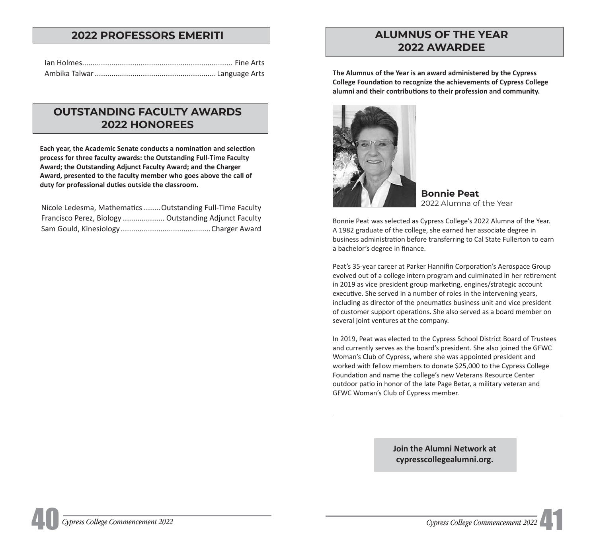# **2022 PROFESSORS EMERITI ALUMNUS OF THE YEAR**

# **OUTSTANDING FACULTY AWARDS 2022 HONOREES**

**Each year, the Academic Senate conducts a nomination and selection process for three faculty awards: the Outstanding Full-Time Faculty Award; the Outstanding Adjunct Faculty Award; and the Charger Award, presented to the faculty member who goes above the call of duty for professional duties outside the classroom.**

| Nicole Ledesma, Mathematics  Outstanding Full-Time Faculty |  |
|------------------------------------------------------------|--|
| Francisco Perez, Biology  Outstanding Adjunct Faculty      |  |
|                                                            |  |

# **2022 AWARDEE**

The Alumnus of the Year is an award administered by the Cypress **College Foundation to recognize the achievements of Cypress College alumni and their contributions to their profession and community.**



**Bonnie Peat**  2022 Alumna of the Year

Bonnie Peat was selected as Cypress College's 2022 Alumna of the Year. A 1982 graduate of the college, she earned her associate degree in business administration before transferring to Cal State Fullerton to earn a bachelor's degree in finance.

Peat's 35-year career at Parker Hannifin Corporation's Aerospace Group evolved out of a college intern program and culminated in her retirement in 2019 as vice president group marketing, engines/strategic account executive. She served in a number of roles in the intervening years, including as director of the pneumatics business unit and vice president of customer support operations. She also served as a board member on several joint ventures at the company.

In 2019, Peat was elected to the Cypress School District Board of Trustees and currently serves as the board's president. She also joined the GFWC Woman's Club of Cypress, where she was appointed president and worked with fellow members to donate \$25,000 to the Cypress College Foundation and name the college's new Veterans Resource Center outdoor patio in honor of the late Page Betar, a military veteran and GFWC Woman's Club of Cypress member.

> **Join the Alumni Network at [cypresscollegealumni.org](https://cypresscollegealumni.org).**

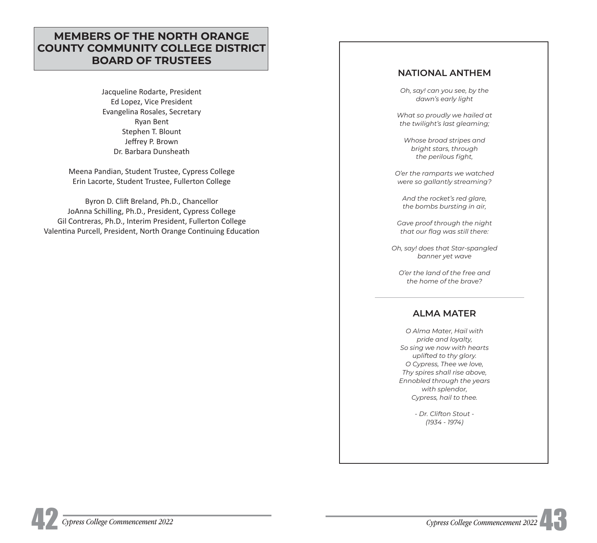# **MEMBERS OF THE NORTH ORANGE COUNTY COMMUNITY COLLEGE DISTRICT BOARD OF TRUSTEES**

Jacqueline Rodarte, President Ed Lopez, Vice President Evangelina Rosales, Secretary Ryan Bent Stephen T. Blount Jeffrey P. Brown Dr. Barbara Dunsheath

Meena Pandian, Student Trustee, Cypress College Erin Lacorte, Student Trustee, Fullerton College

Byron D. Clift Breland, Ph.D., Chancellor JoAnna Schilling, Ph.D., President, Cypress College Gil Contreras, Ph.D., Interim President, Fullerton College Valentina Purcell, President, North Orange Continuing Education

## **NATIONAL ANTHEM**

*Oh, say! can you see, by the dawn's early light* 

*What so proudly we hailed at the twilight's last gleaming;* 

*Whose broad stripes and bright stars, through*   $the$  perilous fight,

*O'er the ramparts we watched were so gallantly streaming?* 

*And the rocket's red glare, the bombs bursting in air,* 

*Gave proof through the night*  that our flag was still there:

*Oh, say! does that Star-spangled banner yet wave* 

*O'er the land of the free and the home of the brave?* 

# **ALMA MATER**

*O Alma Mater, Hail with pride and loyalty, So sing we now with hearts uplifted to thy glory. O Cypress, Thee we love, Thy spires shall rise above, Ennobled through the years with splendor, Cypress, hail to thee.* 

> *- Dr. Clifton Stout - (1934 - 1974)*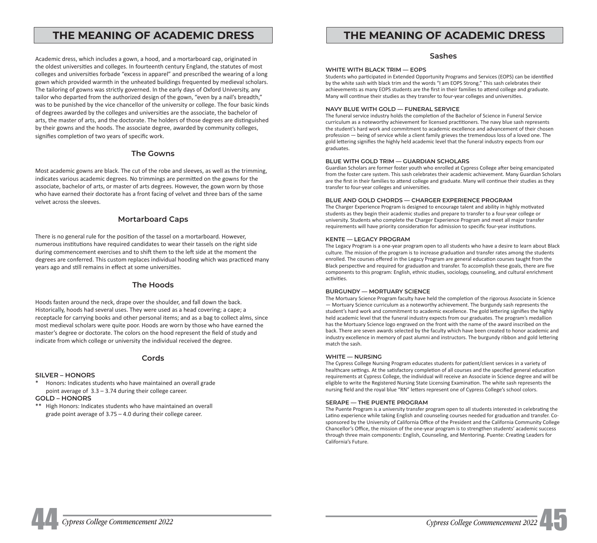# THE MEANING OF ACADEMIC DRESS **THE MEANING OF ACADEMIC DRESS**

Academic dress, which includes a gown, a hood, and a mortarboard cap, originated in the oldest universities and colleges. In fourteenth century England, the statutes of most colleges and universities forbade "excess in apparel" and prescribed the wearing of a long gown which provided warmth in the unheated buildings frequented by medieval scholars. The tailoring of gowns was strictly governed. In the early days of Oxford University, any tailor who departed from the authorized design of the gown, "even by a nail's breadth," was to be punished by the vice chancellor of the university or college. The four basic kinds of degrees awarded by the colleges and universities are the associate, the bachelor of arts, the master of arts, and the doctorate. The holders of those degrees are distinguished by their gowns and the hoods. The associate degree, awarded by community colleges, signifies completion of two years of specific work.

#### **The Gowns**

Most academic gowns are black. The cut of the robe and sleeves, as well as the trimming, indicates various academic degrees. No trimmings are permitted on the gowns for the associate, bachelor of arts, or master of arts degrees. However, the gown worn by those who have earned their doctorate has a front facing of velvet and three bars of the same velvet across the sleeves.

#### **Mortarboard Caps**

There is no general rule for the position of the tassel on a mortarboard. However, numerous institutions have required candidates to wear their tassels on the right side during commencement exercises and to shift them to the left side at the moment the degrees are conferred. This custom replaces individual hooding which was practiced many years ago and still remains in effect at some universities.

#### **The Hoods**

Hoods fasten around the neck, drape over the shoulder, and fall down the back. Historically, hoods had several uses. They were used as a head covering; a cape; a receptacle for carrying books and other personal items; and as a bag to collect alms, since most medieval scholars were quite poor. Hoods are worn by those who have earned the master's degree or doctorate. The colors on the hood represent the field of study and indicate from which college or university the individual received the degree.

#### **Cords**

#### **SILVER – HONORS**

- \* Honors: Indicates students who have maintained an overall grade point average of 3.3 – 3.74 during their college career.
- **GOLD HONORS**
- \*\* High Honors: Indicates students who have maintained an overall grade point average of 3.75 – 4.0 during their college career.

#### **Sashes**

#### **WHITE WITH BLACK TRIM — EOPS**

Students who participated in Extended Opportunity Programs and Services (EOPS) can be identified by the white sash with black trim and the words "I am EOPS Strong." This sash celebrates their achievements as many EOPS students are the first in their families to attend college and graduate. Many will continue their studies as they transfer to four-year colleges and universities.

#### **NAVY BLUE WITH GOLD — FUNERAL SERVICE**

The funeral service industry holds the completion of the Bachelor of Science in Funeral Service curriculum as a noteworthy achievement for licensed practitioners. The navy blue sash represents the student's hard work and commitment to academic excellence and advancement of their chosen profession — being of service while a client family grieves the tremendous loss of a loved one. The gold lettering signifies the highly held academic level that the funeral industry expects from our graduates.

#### **BLUE WITH GOLD TRIM — GUARDIAN SCHOLARS**

Guardian Scholars are former foster youth who enrolled at Cypress College after being emancipated from the foster care system. This sash celebrates their academic achievement. Many Guardian Scholars are the first in their families to attend college and graduate. Many will continue their studies as they transfer to four-year colleges and universities.

#### **BLUE AND GOLD CHORDS — CHARGER EXPERIENCE PROGRAM**

The Charger Experience Program is designed to encourage talent and ability in highly motivated students as they begin their academic studies and prepare to transfer to a four-year college or university. Students who complete the Charger Experience Program and meet all major transfer requirements will have priority consideration for admission to specific four-year institutions.

#### **KENTE — LEGACY PROGRAM**

The Legacy Program is a one-year program open to all students who have a desire to learn about Black culture. The mission of the program is to increase graduation and transfer rates among the students enrolled. The courses offered in the Legacy Program are general education courses taught from the Black perspective and required for graduation and transfer. To accomplish these goals, there are five components to this program: English, ethnic studies, sociology, counseling, and cultural enrichment activities.

#### **BURGUNDY — MORTUARY SCIENCE**

The Mortuary Science Program faculty have held the completion of the rigorous Associate in Science — Mortuary Science curriculum as a noteworthy achievement. The burgundy sash represents the student's hard work and commitment to academic excellence. The gold lettering signifies the highly held academic level that the funeral industry expects from our graduates. The program's medallion has the Mortuary Science logo engraved on the front with the name of the award inscribed on the back. There are seven awards selected by the faculty which have been created to honor academic and industry excellence in memory of past alumni and instructors. The burgundy ribbon and gold lettering match the sash.

#### **WHITE — NURSING**

The Cypress College Nursing Program educates students for patient/client services in a variety of healthcare settings. At the satisfactory completion of all courses and the specified general education requirements at Cypress College, the individual will receive an Associate in Science degree and will be eligible to write the Registered Nursing State Licensing Examination. The white sash represents the nursing field and the royal blue "RN" letters represent one of Cypress College's school colors.

#### **SERAPE — THE PUENTE PROGRAM**

The Puente Program is a university transfer program open to all students interested in celebrating the Latino experience while taking English and counseling courses needed for graduation and transfer. Cosponsored by the University of California Office of the President and the California Community College Chancellor's Office, the mission of the one-year program is to strengthen students' academic success through three main components: English, Counseling, and Mentoring. Puente: Creating Leaders for California's Future.

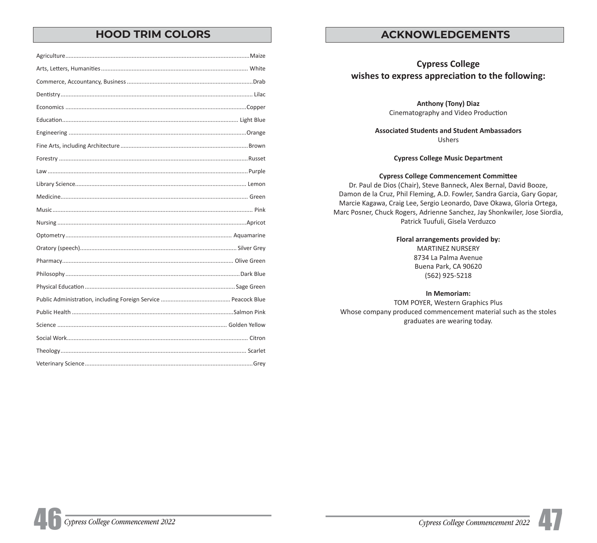# **HOOD TRIM COLORS ACKNOWLEDGEMENTS**

# **Cypress College wishes to express appreciation to the following:**

**Anthony (Tony) Diaz** Cinematography and Video Production

**Associated Students and Student Ambassadors** Ushers

**Cypress College Music Department**

### **Cypress College Commencement Committee**

Dr. Paul de Dios (Chair), Steve Banneck, Alex Bernal, David Booze, Damon de la Cruz, Phil Fleming, A.D. Fowler, Sandra Garcia, Gary Gopar, Marcie Kagawa, Craig Lee, Sergio Leonardo, Dave Okawa, Gloria Ortega, Marc Posner, Chuck Rogers, Adrienne Sanchez, Jay Shonkwiler, Jose Siordia, Patrick Tuufuli, Gisela Verduzco

**Floral arrangements provided by:**

MARTINEZ NURSERY 8734 La Palma Avenue Buena Park, CA 90620 (562) 925-5218

**In Memoriam:**

TOM POYER, Western Graphics Plus Whose company produced commencement material such as the stoles graduates are wearing today.